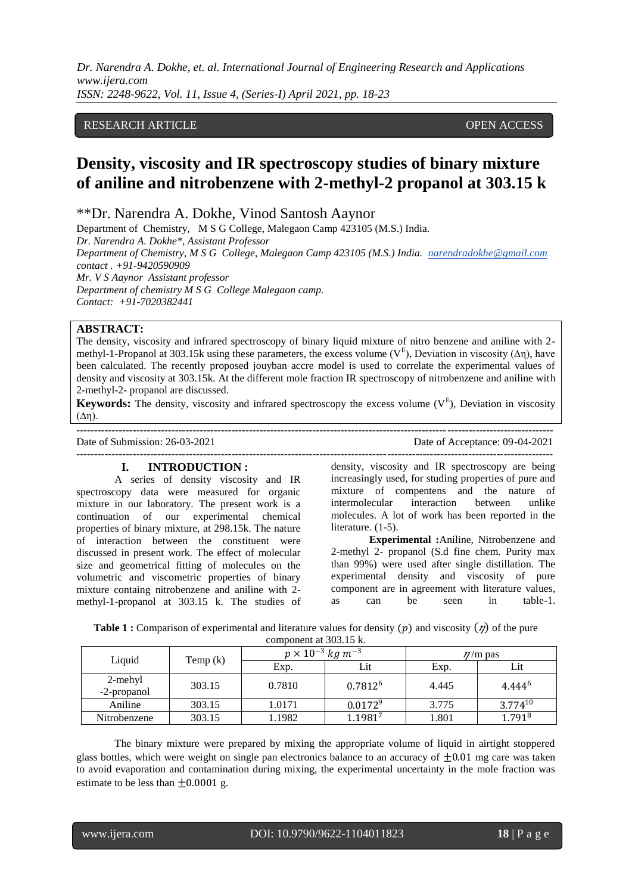*Dr. Narendra A. Dokhe, et. al. International Journal of Engineering Research and Applications www.ijera.com ISSN: 2248-9622, Vol. 11, Issue 4, (Series-I) April 2021, pp. 18-23*

## RESEARCH ARTICLE **CONTRACT ARTICLE** AND A SERVICE OPEN ACCESS

# **Density, viscosity and IR spectroscopy studies of binary mixture of aniline and nitrobenzene with 2-methyl-2 propanol at 303.15 k**

\*\*Dr. Narendra A. Dokhe, Vinod Santosh Aaynor

Department of Chemistry, M S G College, Malegaon Camp 423105 (M.S.) India. *Dr. Narendra A. Dokhe\*, Assistant Professor Department of Chemistry, M S G College, Malegaon Camp 423105 (M.S.) India. [narendradokhe@gmail.com](mailto:narendradokhe@gmail.com)  contact . +91-9420590909 Mr. V S Aaynor Assistant professor Department of chemistry M S G College Malegaon camp. Contact: +91-7020382441*

### **ABSTRACT:**

The density, viscosity and infrared spectroscopy of binary liquid mixture of nitro benzene and aniline with 2 methyl-1-Propanol at 303.15k using these parameters, the excess volume ( $V^E$ ), Deviation in viscosity ( $\Delta \eta$ ), have been calculated. The recently proposed jouyban accre model is used to correlate the experimental values of density and viscosity at 303.15k. At the different mole fraction IR spectroscopy of nitrobenzene and aniline with 2-methyl-2- propanol are discussed.

**Keywords:** The density, viscosity and infrared spectroscopy the excess volume (V<sup>E</sup>), Deviation in viscosity (∆η).

--------------------------------------------------------------------------------------------------------------------------------------- Date of Submission: 26-03-2021 Date of Acceptance: 09-04-2021

## ---------------------------------------------------------------------------------------------------------------------------------------

## **I. INTRODUCTION :**

A series of density viscosity and IR spectroscopy data were measured for organic mixture in our laboratory. The present work is a continuation of our experimental chemical properties of binary mixture, at 298.15k. The nature of interaction between the constituent were discussed in present work. The effect of molecular size and geometrical fitting of molecules on the volumetric and viscometric properties of binary mixture containg nitrobenzene and aniline with 2 methyl-1-propanol at 303.15 k. The studies of

density, viscosity and IR spectroscopy are being increasingly used, for studing properties of pure and mixture of compentens and the nature of intermolecular interaction between unlike molecules. A lot of work has been reported in the literature. (1-5).

**Experimental :**Aniline, Nitrobenzene and 2-methyl 2- propanol (S.d fine chem. Purity max than 99%) were used after single distillation. The experimental density and viscosity of pure component are in agreement with literature values, as can be seen in table-1.

| <b>Table 1 :</b> Comparison of experimental and literature values for density $(p)$ and viscosity $(p)$ of the pure |  |
|---------------------------------------------------------------------------------------------------------------------|--|
| component at $303.15 \text{ k}$                                                                                     |  |

| Liquid                 | Temp $(k)$ | $p \times 10^{-3}$ kg m <sup>-3</sup> |              | $\eta/m$ pas |                    |
|------------------------|------------|---------------------------------------|--------------|--------------|--------------------|
|                        |            | Exp.                                  | Lit          | Exp.         | Lit                |
| 2-mehyl<br>-2-propanol | 303.15     | 0.7810                                | $0.7812^6$   | 4.445        | 4.444 <sup>6</sup> |
| Aniline                | 303.15     | 1.0171                                | $0.0172^{9}$ | 3.775        | $3.774^{10}$       |
| Nitrobenzene           | 303.15     | 1.1982                                | 1.19817      | 1.801        | $1.791^{8}$        |

The binary mixture were prepared by mixing the appropriate volume of liquid in airtight stoppered glass bottles, which were weight on single pan electronics balance to an accuracy of  $\pm 0.01$  mg care was taken to avoid evaporation and contamination during mixing, the experimental uncertainty in the mole fraction was estimate to be less than  $\pm 0.0001$  g.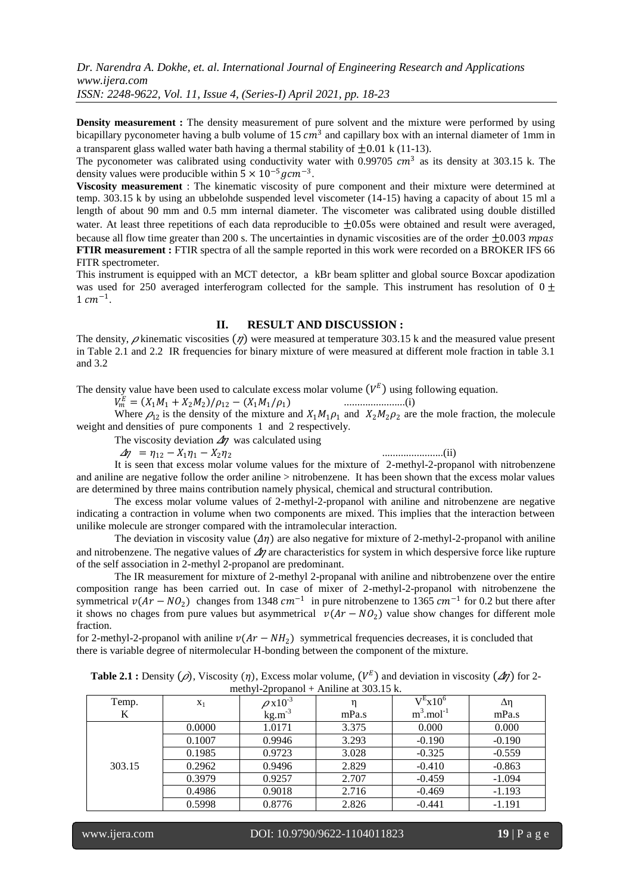**Density measurement :** The density measurement of pure solvent and the mixture were performed by using bicapillary pyconometer having a bulb volume of 15  $cm<sup>3</sup>$  and capillary box with an internal diameter of 1mm in a transparent glass walled water bath having a thermal stability of  $+0.01 \text{ k}$  (11-13).

The pyconometer was calibrated using conductivity water with 0.99705  $cm<sup>3</sup>$  as its density at 303.15 k. The density values were producible within  $5 \times 10^{-5}$  gcm<sup>-3</sup>.

**Viscosity measurement** : The kinematic viscosity of pure component and their mixture were determined at temp. 303.15 k by using an ubbelohde suspended level viscometer (14-15) having a capacity of about 15 ml a length of about 90 mm and 0.5 mm internal diameter. The viscometer was calibrated using double distilled water. At least three repetitions of each data reproducible to  $\pm 0.05$ s were obtained and result were averaged, because all flow time greater than 200 s. The uncertainties in dynamic viscosities are of the order  $\pm 0.003$  mpas **FTIR measurement :** FTIR spectra of all the sample reported in this work were recorded on a BROKER IFS 66 FITR spectrometer.

This instrument is equipped with an MCT detector, a kBr beam splitter and global source Boxcar apodization was used for 250 averaged interferogram collected for the sample. This instrument has resolution of  $0\pm$  $1 cm^{-1}$ .

## **II. RESULT AND DISCUSSION :**

The density,  $\rho$  kinematic viscosities  $(\eta)$  were measured at temperature 303.15 k and the measured value present in Table 2.1 and 2.2 IR frequencies for binary mixture of were measured at different mole fraction in table 3.1 and 3.2

The density value have been used to calculate excess molar volume  $(V^E)$  using following equation.

$$
V_m^E = (X_1M_1 + X_2M_2)/\rho_{12} - (X_1M_1/\rho_1)
$$

Where  $\rho_{12}$  is the density of the mixture and  $X_1M_1\rho_1$  and  $X_2M_2\rho_2$  are the mole fraction, the molecule weight and densities of pure components 1 and 2 respectively.

The viscosity deviation  $\Delta n$  was calculated using

 $\Delta \eta = \eta_{12} - X_1 \eta_1 - X_2 \eta_2$ 

.......................(ii)

/<sup>12</sup> − (11/1) .......................(i)

It is seen that excess molar volume values for the mixture of 2-methyl-2-propanol with nitrobenzene and aniline are negative follow the order aniline > nitrobenzene. It has been shown that the excess molar values are determined by three mains contribution namely physical, chemical and structural contribution.

The excess molar volume values of 2-methyl-2-propanol with aniline and nitrobenzene are negative indicating a contraction in volume when two components are mixed. This implies that the interaction between unilike molecule are stronger compared with the intramolecular interaction.

The deviation in viscosity value  $(\Delta \eta)$  are also negative for mixture of 2-methyl-2-propanol with aniline and nitrobenzene. The negative values of  $\Delta\eta$  are characteristics for system in which despersive force like rupture of the self association in 2-methyl 2-propanol are predominant.

The IR measurement for mixture of 2-methyl 2-propanal with aniline and nibtrobenzene over the entire composition range has been carried out. In case of mixer of 2-methyl-2-propanol with nitrobenzene the symmetrical  $v(Ar - NO_2)$  changes from 1348  $cm^{-1}$  in pure nitrobenzene to 1365  $cm^{-1}$  for 0.2 but there after it shows no chages from pure values but asymmetrical  $v(Ar - NQ_2)$  value show changes for different mole fraction.

for 2-methyl-2-propanol with aniline  $v(Ar - NH_2)$  symmetrical frequencies decreases, it is concluded that there is variable degree of nitermolecular H-bonding between the component of the mixture.

| <b>Table 2.1 :</b> Density ( $\rho$ ), Viscosity ( $\eta$ ), Excess molar volume, ( $V^E$ ) and deviation in viscosity ( $\Delta \eta$ ) for 2- |  |
|-------------------------------------------------------------------------------------------------------------------------------------------------|--|
| methyl-2propanol + Aniline at $303.15$ k.                                                                                                       |  |

| $\frac{1}{100}$ . The state of $\frac{1}{100}$ is the state of $\frac{1}{100}$ in $\frac{1}{100}$ in $\frac{1}{100}$ |        |                          |       |                          |            |
|----------------------------------------------------------------------------------------------------------------------|--------|--------------------------|-------|--------------------------|------------|
| Temp.                                                                                                                | $X_1$  | $\rho$ x10 <sup>-3</sup> |       | $V^E$ x10 <sup>6</sup>   | $\Delta$ η |
| K                                                                                                                    |        | $kg.m^{-3}$              | mPa.s | $m^3$ .mol <sup>-1</sup> | mPa.s      |
|                                                                                                                      | 0.0000 | 1.0171                   | 3.375 | 0.000                    | 0.000      |
|                                                                                                                      | 0.1007 | 0.9946                   | 3.293 | $-0.190$                 | $-0.190$   |
|                                                                                                                      | 0.1985 | 0.9723                   | 3.028 | $-0.325$                 | $-0.559$   |
| 303.15                                                                                                               | 0.2962 | 0.9496                   | 2.829 | $-0.410$                 | $-0.863$   |
|                                                                                                                      | 0.3979 | 0.9257                   | 2.707 | $-0.459$                 | $-1.094$   |
|                                                                                                                      | 0.4986 | 0.9018                   | 2.716 | $-0.469$                 | $-1.193$   |
|                                                                                                                      | 0.5998 | 0.8776                   | 2.826 | $-0.441$                 | $-1.191$   |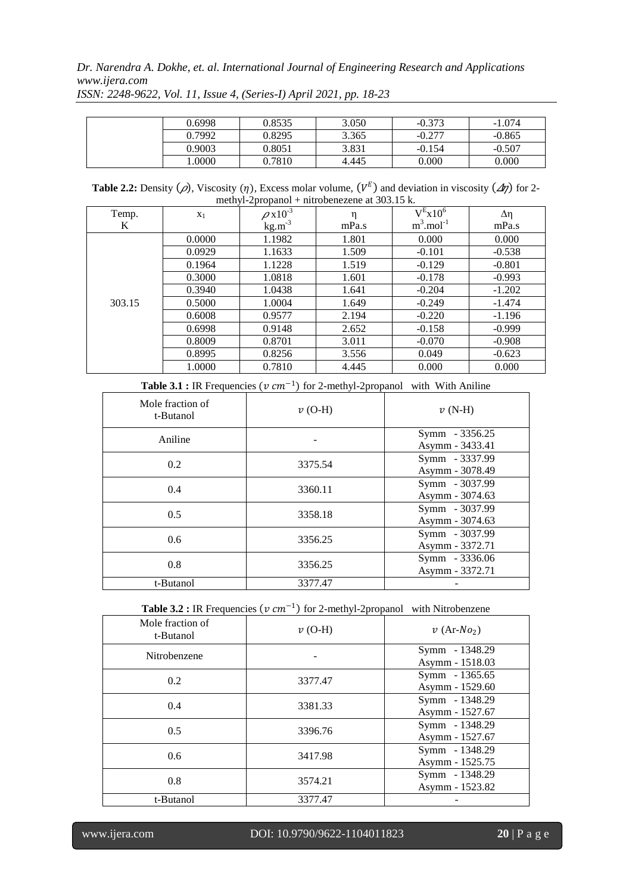*Dr. Narendra A. Dokhe, et. al. International Journal of Engineering Research and Applications www.ijera.com*

| 0.6998 | 0.8535 | 3.050 | $-0.373$ | $-1.074$ |
|--------|--------|-------|----------|----------|
| 0.7992 | 0.8295 | 3.365 | $-0.277$ | $-0.865$ |
| 0.9003 | 0.8051 | 3.831 | $-0.154$ | $-0.507$ |
| .0000  | 0.7810 | 4.445 | 0.000    | 0.000    |

*ISSN: 2248-9622, Vol. 11, Issue 4, (Series-I) April 2021, pp. 18-23*

**Table 2.2:** Density ( $\rho$ ), Viscosity ( $\eta$ ), Excess molar volume, ( $V^E$ ) and deviation in viscosity ( $\Delta \eta$ ) for 2methyl-2propanol + nitrobenezene at 303.15 k.

| Temp.  | $X_1$  | $\rho$ x10 <sup>-3</sup> | η     | $V^E x 10^6$             | $\Delta$ η |
|--------|--------|--------------------------|-------|--------------------------|------------|
| K      |        | $kg.m^{-3}$              | mPa.s | $m^3$ .mol <sup>-1</sup> | mPa.s      |
|        | 0.0000 | 1.1982                   | 1.801 | 0.000                    | 0.000      |
|        | 0.0929 | 1.1633                   | 1.509 | $-0.101$                 | $-0.538$   |
|        | 0.1964 | 1.1228                   | 1.519 | $-0.129$                 | $-0.801$   |
|        | 0.3000 | 1.0818                   | 1.601 | $-0.178$                 | $-0.993$   |
|        | 0.3940 | 1.0438                   | 1.641 | $-0.204$                 | $-1.202$   |
| 303.15 | 0.5000 | 1.0004                   | 1.649 | $-0.249$                 | $-1.474$   |
|        | 0.6008 | 0.9577                   | 2.194 | $-0.220$                 | $-1.196$   |
|        | 0.6998 | 0.9148                   | 2.652 | $-0.158$                 | $-0.999$   |
|        | 0.8009 | 0.8701                   | 3.011 | $-0.070$                 | $-0.908$   |
|        | 0.8995 | 0.8256                   | 3.556 | 0.049                    | $-0.623$   |
|        | 1.0000 | 0.7810                   | 4.445 | 0.000                    | 0.000      |

| Mole fraction of<br>t-Butanol | $v$ (O-H) | $v(N-H)$                          |
|-------------------------------|-----------|-----------------------------------|
| Aniline                       |           | Symm - 3356.25<br>Asymm - 3433.41 |
| 0.2                           | 3375.54   | Symm - 3337.99<br>Asymm - 3078.49 |
| 0.4                           | 3360.11   | Symm - 3037.99<br>Asymm - 3074.63 |
| 0.5                           | 3358.18   | Symm - 3037.99<br>Asymm - 3074.63 |
| 0.6                           | 3356.25   | Symm - 3037.99<br>Asymm - 3372.71 |
| 0.8                           | 3356.25   | Symm - 3336.06<br>Asymm - 3372.71 |
| t-Butanol                     | 3377.47   |                                   |

**Table 3.1 :** IR Frequencies  $(v \, cm^{-1})$  for 2-methyl-2propanol with With Aniline

**Table 3.2 :** IR Frequencies  $(v \, cm^{-1})$  for 2-methyl-2propanol with Nitrobenzene

| Mole fraction of<br>t-Butanol | $v$ (O-H) | $v$ (Ar-No <sub>2</sub> )         |
|-------------------------------|-----------|-----------------------------------|
| Nitrobenzene                  |           | Symm - 1348.29<br>Asymm - 1518.03 |
| 0.2                           | 3377.47   | Symm - 1365.65<br>Asymm - 1529.60 |
| 0.4                           | 3381.33   | Symm - 1348.29<br>Asymm - 1527.67 |
| 0.5                           | 3396.76   | Symm - 1348.29<br>Asymm - 1527.67 |
| 0.6                           | 3417.98   | Symm - 1348.29<br>Asymm - 1525.75 |
| 0.8                           | 3574.21   | Symm - 1348.29<br>Asymm - 1523.82 |
| t-Butanol                     | 3377.47   |                                   |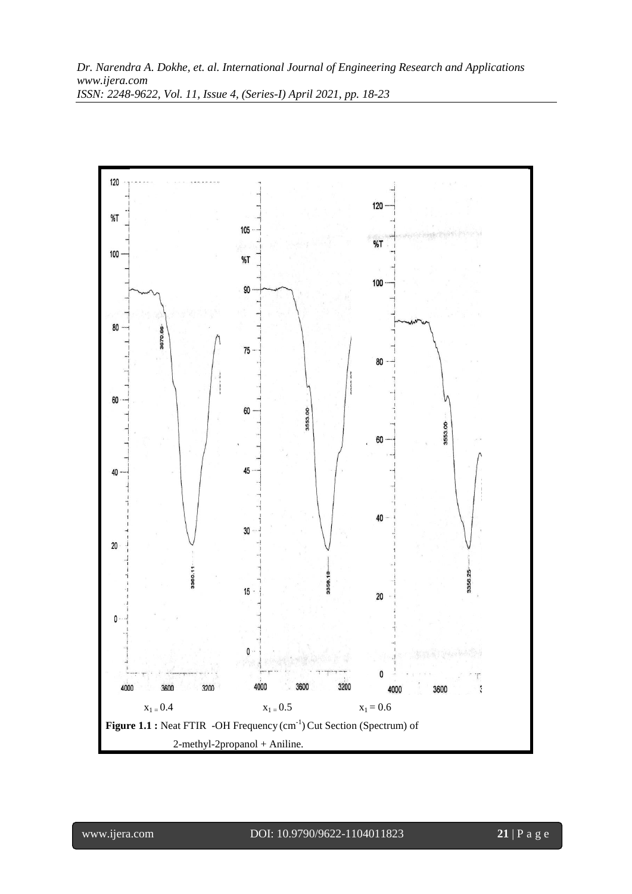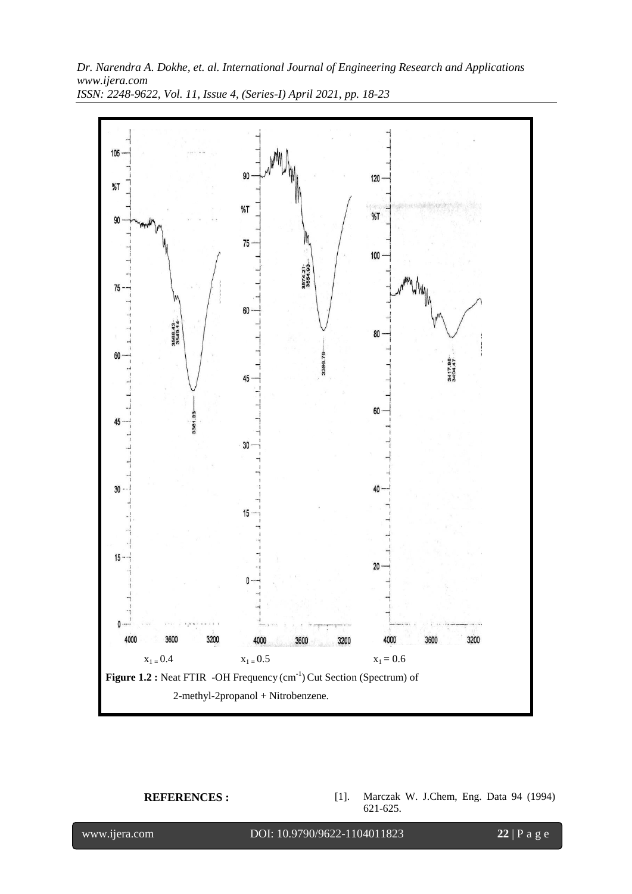

*Dr. Narendra A. Dokhe, et. al. International Journal of Engineering Research and Applications www.ijera.com ISSN: 2248-9622, Vol. 11, Issue 4, (Series-I) April 2021, pp. 18-23*

**REFERENCES :** [1]. Marczak W. J.Chem, Eng. Data 94 (1994) 621-625.

l

www.ijera.com DOI: 10.9790/9622-1104011823 **22** | P a g e